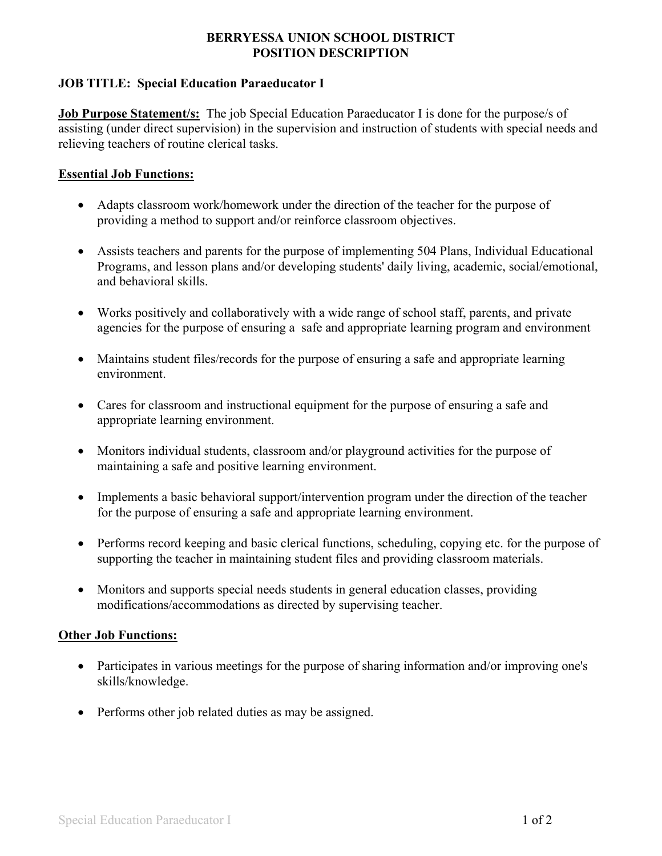## **BERRYESSA UNION SCHOOL DISTRICT POSITION DESCRIPTION**

# **JOB TITLE: Special Education Paraeducator I**

**Job Purpose Statement/s:** The job Special Education Paraeducator I is done for the purpose/s of assisting (under direct supervision) in the supervision and instruction of students with special needs and relieving teachers of routine clerical tasks.

## **Essential Job Functions:**

- Adapts classroom work/homework under the direction of the teacher for the purpose of providing a method to support and/or reinforce classroom objectives.
- Assists teachers and parents for the purpose of implementing 504 Plans, Individual Educational Programs, and lesson plans and/or developing students' daily living, academic, social/emotional, and behavioral skills.
- Works positively and collaboratively with a wide range of school staff, parents, and private agencies for the purpose of ensuring a safe and appropriate learning program and environment
- Maintains student files/records for the purpose of ensuring a safe and appropriate learning environment.
- Cares for classroom and instructional equipment for the purpose of ensuring a safe and appropriate learning environment.
- Monitors individual students, classroom and/or playground activities for the purpose of maintaining a safe and positive learning environment.
- Implements a basic behavioral support/intervention program under the direction of the teacher for the purpose of ensuring a safe and appropriate learning environment.
- Performs record keeping and basic clerical functions, scheduling, copying etc. for the purpose of supporting the teacher in maintaining student files and providing classroom materials.
- Monitors and supports special needs students in general education classes, providing modifications/accommodations as directed by supervising teacher.

### **Other Job Functions:**

- Participates in various meetings for the purpose of sharing information and/or improving one's skills/knowledge.
- Performs other job related duties as may be assigned.